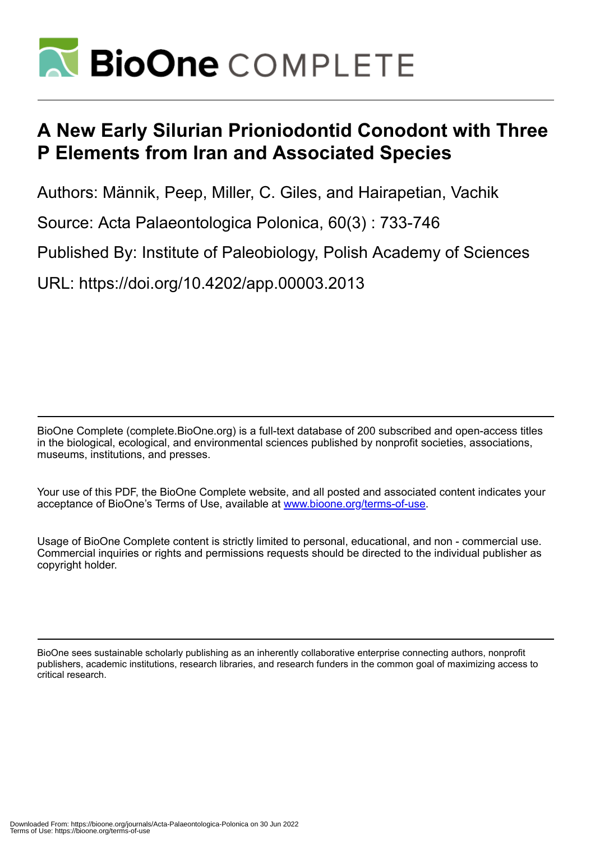

## **A New Early Silurian Prioniodontid Conodont with Three P Elements from Iran and Associated Species**

Authors: Männik, Peep, Miller, C. Giles, and Hairapetian, Vachik

Source: Acta Palaeontologica Polonica, 60(3) : 733-746

Published By: Institute of Paleobiology, Polish Academy of Sciences

URL: https://doi.org/10.4202/app.00003.2013

BioOne Complete (complete.BioOne.org) is a full-text database of 200 subscribed and open-access titles in the biological, ecological, and environmental sciences published by nonprofit societies, associations, museums, institutions, and presses.

Your use of this PDF, the BioOne Complete website, and all posted and associated content indicates your acceptance of BioOne's Terms of Use, available at www.bioone.org/terms-of-use.

Usage of BioOne Complete content is strictly limited to personal, educational, and non - commercial use. Commercial inquiries or rights and permissions requests should be directed to the individual publisher as copyright holder.

BioOne sees sustainable scholarly publishing as an inherently collaborative enterprise connecting authors, nonprofit publishers, academic institutions, research libraries, and research funders in the common goal of maximizing access to critical research.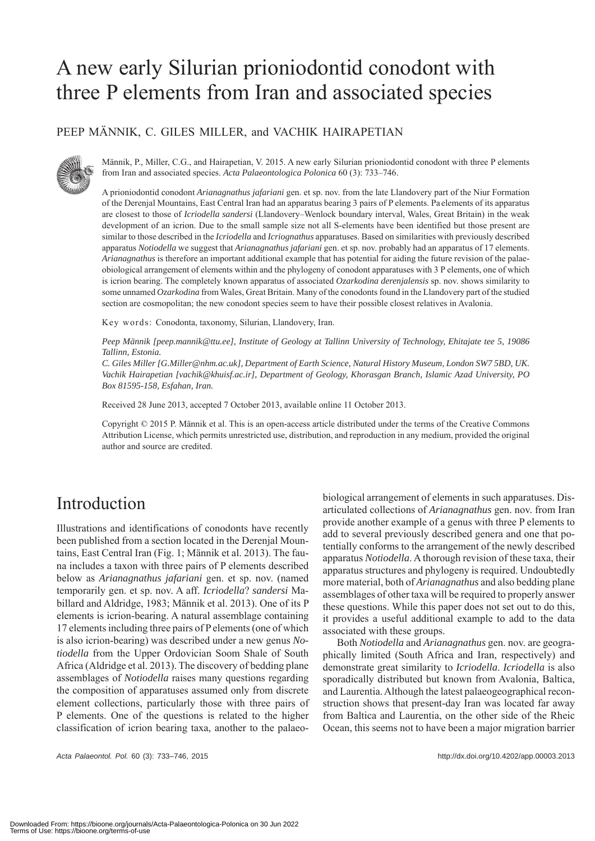# A new early Silurian prioniodontid conodont with three P elements from Iran and associated species

### PEEP MÄNNIK, C. GILES MILLER, and VACHIK HAIRAPETIAN



Männik, P., Miller, C.G., and Hairapetian, V. 2015. A new early Silurian prioniodontid conodont with three P elements from Iran and associated species. *Acta Palaeontologica Polonica* 60 (3): 733–746.

A prioniodontid conodont *Arianagnathus jafariani* gen. et sp. nov. from the late Llandovery part of the Niur Formation of the Derenjal Mountains, East Central Iran had an apparatus bearing 3 pairs of P elements. Pa elements of its apparatus are closest to those of *Icriodella sandersi* (Llandovery–Wenlock boundary interval, Wales, Great Britain) in the weak development of an icrion. Due to the small sample size not all S-elements have been identified but those present are similar to those described in the *Icriodella* and *Icriognathus* apparatuses. Based on similarities with previously described apparatus *Notiodella* we suggest that *Arianagnathus jafariani* gen. et sp. nov. probably had an apparatus of 17 elements. *Arianagnathus* is therefore an important additional example that has potential for aiding the future revision of the palaeobiological arrangement of elements within and the phylogeny of conodont apparatuses with 3 P elements, one of which is icrion bearing. The completely known apparatus of associated *Ozarkodina derenjalensis* sp. nov. shows similarity to some unnamed *Ozarkodina* from Wales, Great Britain. Many of the conodonts found in the Llandovery part of the studied section are cosmopolitan; the new conodont species seem to have their possible closest relatives in Avalonia.

Key words: Conodonta, taxonomy, Silurian, Llandovery, Iran.

*Peep Männik [peep.mannik@ttu.ee], Institute of Geology at Tallinn University of Technology, Ehitajate tee 5, 19086 Tallinn, Estonia.*

*C. Giles Miller [G.Miller@nhm.ac.uk], Department of Earth Science, Natural History Museum, London SW7 5BD, UK. Vachik Hairapetian [vachik@khuisf.ac.ir], Department of Geology, Khorasgan Branch, Islamic Azad University, PO Box 81595-158, Esfahan, Iran.*

Received 28 June 2013, accepted 7 October 2013, available online 11 October 2013.

Copyright © 2015 P. Männik et al. This is an open-access article distributed under the terms of the Creative Commons Attribution License, which permits unrestricted use, distribution, and reproduction in any medium, provided the original author and source are credited.

### Introduction

Illustrations and identifications of conodonts have recently been published from a section located in the Derenjal Mountains, East Central Iran (Fig. 1; Männik et al. 2013). The fauna includes a taxon with three pairs of P elements described below as *Arianagnathus jafariani* gen. et sp. nov. (named temporarily gen. et sp. nov. A aff. *Icriodella*? *sandersi* Mabillard and Aldridge, 1983; Männik et al. 2013). One of its P elements is icrion-bearing. A natural assemblage containing 17 elements including three pairs of P elements (one of which is also icrion-bearing) was described under a new genus *Notiodella* from the Upper Ordovician Soom Shale of South Africa (Aldridge et al. 2013). The discovery of bedding plane assemblages of *Notiodella* raises many questions regarding the composition of apparatuses assumed only from discrete element collections, particularly those with three pairs of P elements. One of the questions is related to the higher classification of icrion bearing taxa, another to the palaeo-

*Acta Palaeontol. Pol.* 60 (3): 733–746, 2015 http://dx.doi.org/10.4202/app.00003.2013

biological arrangement of elements in such apparatuses. Disarticulated collections of *Arianagnathus* gen. nov. from Iran provide another example of a genus with three P elements to add to several previously described genera and one that potentially conforms to the arrangement of the newly described apparatus *Notiodella*. A thorough revision of these taxa, their apparatus structures and phylogeny is required. Undoubtedly more material, both of *Arianagnathus* and also bedding plane assemblages of other taxa will be required to properly answer these questions. While this paper does not set out to do this, it provides a useful additional example to add to the data associated with these groups.

Both *Notiodella* and *Arianagnathus* gen. nov. are geographically limited (South Africa and Iran, respectively) and demonstrate great similarity to *Icriodella*. *Icriodella* is also sporadically distributed but known from Avalonia, Baltica, and Laurentia. Although the latest palaeogeographical reconstruction shows that present-day Iran was located far away from Baltica and Laurentia, on the other side of the Rheic Ocean, this seems not to have been a major migration barrier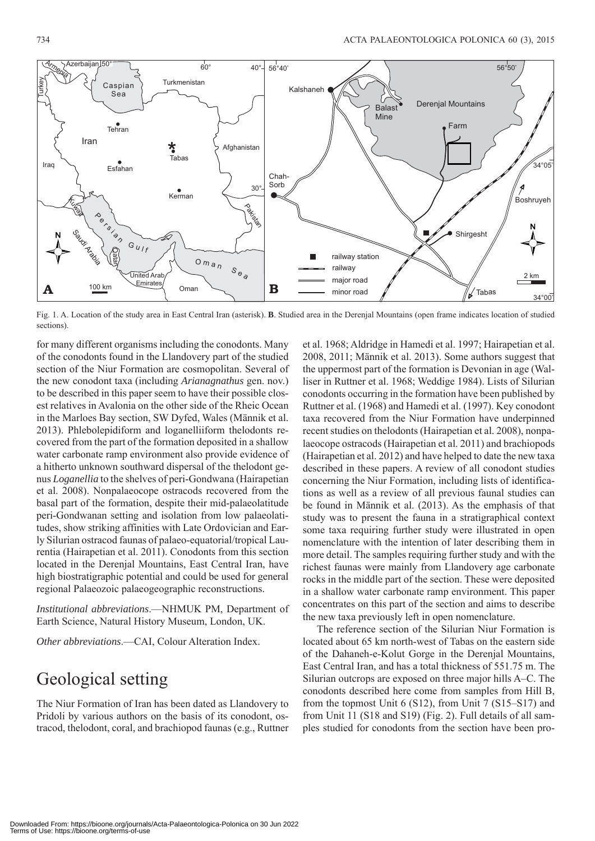

Fig. 1. A. Location of the study area in East Central Iran (asterisk). **B**. Studied area in the Derenjal Mountains (open frame indicates location of studied sections).

for many different organisms including the conodonts. Many of the conodonts found in the Llandovery part of the studied section of the Niur Formation are cosmopolitan. Several of the new conodont taxa (including *Arianagnathus* gen. nov.) to be described in this paper seem to have their possible closest relatives in Avalonia on the other side of the Rheic Ocean in the Marloes Bay section, SW Dyfed, Wales (Männik et al. 2013). Phlebolepidiform and loganelliiform thelodonts recovered from the part of the formation deposited in a shallow water carbonate ramp environment also provide evidence of a hitherto unknown southward dispersal of the thelodont genus *Loganellia* to the shelves of peri-Gondwana (Hairapetian et al. 2008). Nonpalaeocope ostracods recovered from the basal part of the formation, despite their mid-palaeolatitude peri-Gondwanan setting and isolation from low palaeolatitudes, show striking affinities with Late Ordovician and Early Silurian ostracod faunas of palaeo-equatorial/tropical Laurentia (Hairapetian et al. 2011). Conodonts from this section located in the Derenjal Mountains, East Central Iran, have high biostratigraphic potential and could be used for general regional Palaeozoic palaeogeographic reconstructions.

*Institutional abbreviations*.—NHMUK PM, Department of Earth Science, Natural History Museum, London, UK.

*Other abbreviations*.—CAI, Colour Alteration Index.

### Geological setting

The Niur Formation of Iran has been dated as Llandovery to Pridoli by various authors on the basis of its conodont, ostracod, thelodont, coral, and brachiopod faunas (e.g., Ruttner et al. 1968; Aldridge in Hamedi et al. 1997; Hairapetian et al. 2008, 2011; Männik et al. 2013). Some authors suggest that the uppermost part of the formation is Devonian in age (Walliser in Ruttner et al. 1968; Weddige 1984). Lists of Silurian conodonts occurring in the formation have been published by Ruttner et al. (1968) and Hamedi et al. (1997). Key conodont taxa recovered from the Niur Formation have underpinned recent studies on thelodonts (Hairapetian et al. 2008), nonpalaeocope ostracods (Hairapetian et al. 2011) and brachiopods (Hairapetian et al. 2012) and have helped to date the new taxa described in these papers. A review of all conodont studies concerning the Niur Formation, including lists of identifications as well as a review of all previous faunal studies can be found in Männik et al. (2013). As the emphasis of that study was to present the fauna in a stratigraphical context some taxa requiring further study were illustrated in open nomenclature with the intention of later describing them in more detail. The samples requiring further study and with the richest faunas were mainly from Llandovery age carbonate rocks in the middle part of the section. These were deposited in a shallow water carbonate ramp environment. This paper concentrates on this part of the section and aims to describe the new taxa previously left in open nomenclature.

The reference section of the Silurian Niur Formation is located about 65 km north-west of Tabas on the eastern side of the Dahaneh-e-Kolut Gorge in the Derenjal Mountains, East Central Iran, and has a total thickness of 551.75 m. The Silurian outcrops are exposed on three major hills A–C. The conodonts described here come from samples from Hill B, from the topmost Unit 6 (S12), from Unit 7 (S15–S17) and from Unit 11 (S18 and S19) (Fig. 2). Full details of all samples studied for conodonts from the section have been pro-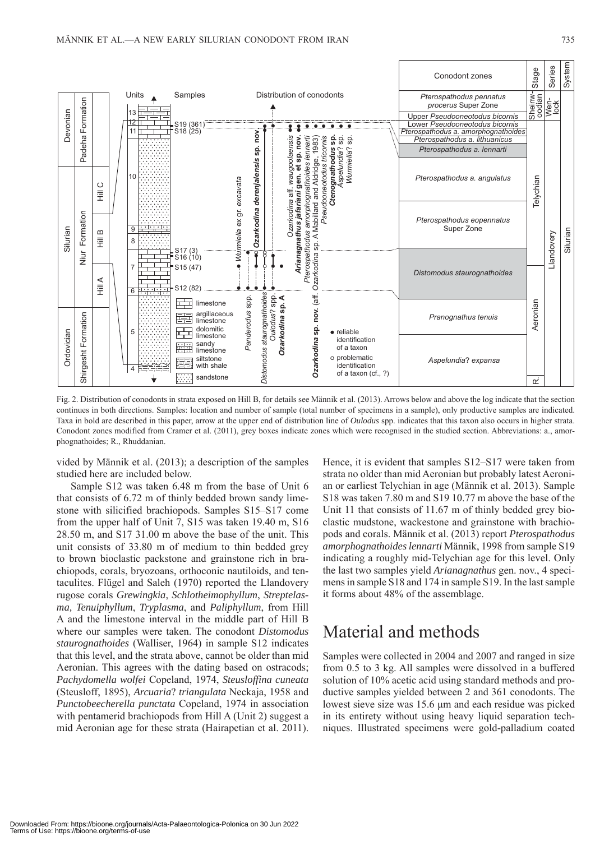

Fig. 2. Distribution of conodonts in strata exposed on Hill B, for details see Männik et al. (2013). Arrows below and above the log indicate that the section continues in both directions. Samples: location and number of sample (total number of specimens in a sample), only productive samples are indicated. Taxa in bold are described in this paper, arrow at the upper end of distribution line of *Oulodus* spp. indicates that this taxon also occurs in higher strata. Conodont zones modified from Cramer et al. (2011), grey boxes indicate zones which were recognised in the studied section. Abbreviations: a., amorphognathoides; R., Rhuddanian.

identification of a taxon (cf., ?)

vided by Männik et al. (2013); a description of the samples studied here are included below.

siltstone with shale sandstone

ΞΞ

4

 $\frac{1}{2}$ 

Sample S12 was taken 6.48 m from the base of Unit 6 that consists of 6.72 m of thinly bedded brown sandy limestone with silicified brachiopods. Samples S15–S17 come from the upper half of Unit 7, S15 was taken 19.40 m, S16 28.50 m, and S17 31.00 m above the base of the unit. This unit consists of 33.80 m of medium to thin bedded grey to brown bioclastic packstone and grainstone rich in brachiopods, corals, bryozoans, orthoconic nautiloids, and tentaculites. Flügel and Saleh (1970) reported the Llandovery rugose corals *Grewingkia*, *Schlotheimophyllum*, *Streptelasma, Tenuiphyllum*, *Tryplasma*, and *Paliphyllum*, from Hill A and the limestone interval in the middle part of Hill B where our samples were taken. The conodont *Distomodus staurognathoides* (Walliser, 1964) in sample S12 indicates that this level, and the strata above, cannot be older than mid Aeronian. This agrees with the dating based on ostracods; *Pachydomella wolfei* Copeland, 1974, *Steusloffina cuneata*  (Steusloff, 1895), *Arcuaria*? *triangulata* Neckaja, 1958 and *Punctobeecherella punctata* Copeland, 1974 in association with pentamerid brachiopods from Hill A (Unit 2) suggest a mid Aeronian age for these strata (Hairapetian et al. 2011). Hence, it is evident that samples S12–S17 were taken from strata no older than mid Aeronian but probably latest Aeronian or earliest Telychian in age (Männik et al. 2013). Sample S18 was taken 7.80 m and S19 10.77 m above the base of the Unit 11 that consists of 11.67 m of thinly bedded grey bioclastic mudstone, wackestone and grainstone with brachiopods and corals. Männik et al. (2013) report *Pterospathodus amorphognathoides lennarti* Männik, 1998 from sample S19 indicating a roughly mid-Telychian age for this level. Only the last two samples yield *Arianagnathus* gen. nov., 4 specimens in sample S18 and 174 in sample S19. In the last sample it forms about 48% of the assemblage.

Aspelundia? expansa

### Material and methods

Samples were collected in 2004 and 2007 and ranged in size from 0.5 to 3 kg. All samples were dissolved in a buffered solution of 10% acetic acid using standard methods and productive samples yielded between 2 and 361 conodonts. The lowest sieve size was 15.6 μm and each residue was picked in its entirety without using heavy liquid separation tech-

R.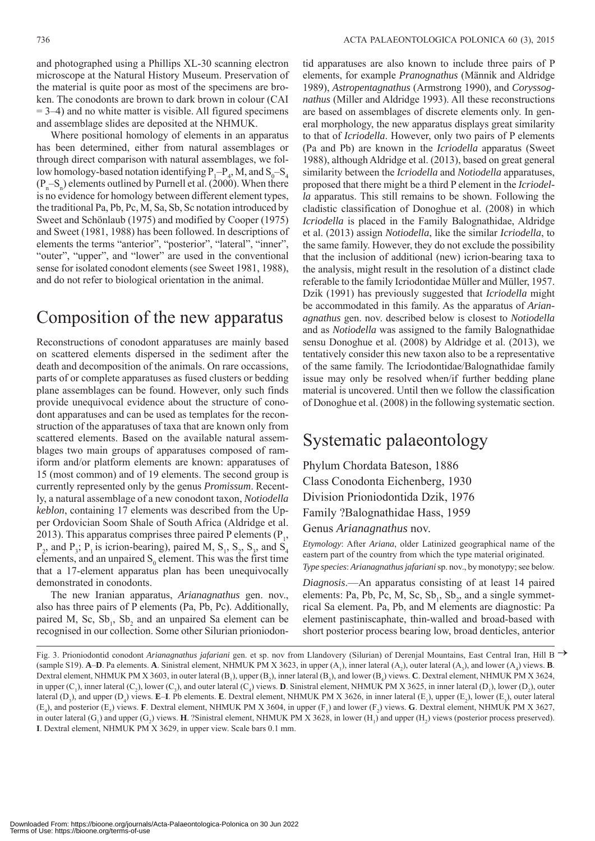and photographed using a Phillips XL-30 scanning electron microscope at the Natural History Museum. Preservation of the material is quite poor as most of the specimens are broken. The conodonts are brown to dark brown in colour (CAI  $= 3-4$ ) and no white matter is visible. All figured specimens and assemblage slides are deposited at the NHMUK.

Where positional homology of elements in an apparatus has been determined, either from natural assemblages or through direct comparison with natural assemblages, we follow homology-based notation identifying  $P_1-P_4$ , M, and  $S_0-S_4$  $(P_n-S_n)$  elements outlined by Purnell et al. (2000). When there is no evidence for homology between different element types, the traditional Pa, Pb, Pc, M, Sa, Sb, Sc notation introduced by Sweet and Schönlaub (1975) and modified by Cooper (1975) and Sweet (1981, 1988) has been followed. In descriptions of elements the terms "anterior", "posterior", "lateral", "inner", "outer", "upper", and "lower" are used in the conventional sense for isolated conodont elements (see Sweet 1981, 1988), and do not refer to biological orientation in the animal.

### Composition of the new apparatus

Reconstructions of conodont apparatuses are mainly based on scattered elements dispersed in the sediment after the death and decomposition of the animals. On rare occassions, parts of or complete apparatuses as fused clusters or bedding plane assemblages can be found. However, only such finds provide unequivocal evidence about the structure of conodont apparatuses and can be used as templates for the reconstruction of the apparatuses of taxa that are known only from scattered elements. Based on the available natural assemblages two main groups of apparatuses composed of ramiform and/or platform elements are known: apparatuses of 15 (most common) and of 19 elements. The second group is currently represented only by the genus *Promissum*. Recently, a natural assemblage of a new conodont taxon, *Notiodella keblon*, containing 17 elements was described from the Upper Ordovician Soom Shale of South Africa (Aldridge et al. 2013). This apparatus comprises three paired P elements  $(P_1,$  $P_2$ , and  $P_3$ ;  $P_1$  is icrion-bearing), paired M, S<sub>1</sub>, S<sub>2</sub>, S<sub>3</sub>, and S<sub>4</sub> elements, and an unpaired  $S_0$  element. This was the first time that a 17-element apparatus plan has been unequivocally demonstrated in conodonts.

The new Iranian apparatus, *Arianagnathus* gen. nov., also has three pairs of P elements (Pa, Pb, Pc). Additionally, paired M, Sc,  $Sb_1$ ,  $Sb_2$  and an unpaired Sa element can be recognised in our collection. Some other Silurian prioniodontid apparatuses are also known to include three pairs of P elements, for example *Pranognathus* (Männik and Aldridge 1989), *Astropentagnathus* (Armstrong 1990), and *Coryssognathus* (Miller and Aldridge 1993). All these reconstructions are based on assemblages of discrete elements only. In general morphology, the new apparatus displays great similarity to that of *Icriodella*. However, only two pairs of P elements (Pa and Pb) are known in the *Icriodella* apparatus (Sweet 1988), although Aldridge et al. (2013), based on great general similarity between the *Icriodella* and *Notiodella* apparatuses, proposed that there might be a third P element in the *Icriodella* apparatus. This still remains to be shown. Following the cladistic classification of Donoghue et al. (2008) in which *Icriodella* is placed in the Family Balognathidae, Aldridge et al. (2013) assign *Notiodella*, like the similar *Icriodella*, to the same family. However, they do not exclude the possibility that the inclusion of additional (new) icrion-bearing taxa to the analysis, might result in the resolution of a distinct clade referable to the family Icriodontidae Müller and Müller, 1957. Dzik (1991) has previously suggested that *Icriodella* might be accommodated in this family. As the apparatus of *Arianagnathus* gen. nov. described below is closest to *Notiodella* and as *Notiodella* was assigned to the family Balognathidae sensu Donoghue et al. (2008) by Aldridge et al. (2013), we tentatively consider this new taxon also to be a representative of the same family. The Icriodontidae/Balognathidae family issue may only be resolved when/if further bedding plane material is uncovered. Until then we follow the classification of Donoghue et al. (2008) in the following systematic section.

### Systematic palaeontology

Phylum Chordata Bateson, 1886 Class Conodonta Eichenberg, 1930 Division Prioniodontida Dzik, 1976 Family ?Balognathidae Hass, 1959

Genus *Arianagnathus* nov.

*Etymology*: After *Ariana*, older Latinized geographical name of the eastern part of the country from which the type material originated. *Type species*: *Arianagnathus jafariani* sp. nov., by monotypy; see below.

*Diagnosis*.—An apparatus consisting of at least 14 paired elements: Pa, Pb, Pc, M, Sc,  $Sb_1$ ,  $Sb_2$ , and a single symmetrical Sa element. Pa, Pb, and M elements are diagnostic: Pa element pastiniscaphate, thin-walled and broad-based with short posterior process bearing low, broad denticles, anterior

Fig. 3. Prioniodontid conodont *Arianagnathus jafariani* gen. et sp. nov from Llandovery (Silurian) of Derenjal Mountains, East Central Iran, Hill B → (sample S19).  $\bf{A}-\bf{D}$ . Pa elements.  $\bf{A}$ . Sinistral element, NHMUK PM X 3623, in upper  $(A_1)$ , inner lateral  $(A_2)$ , outer lateral  $(A_3)$ , and lower  $(A_4)$  views.  $\bf{B}$ . Dextral element, NHMUK PM X 3603, in outer lateral  $(B_1)$ , upper  $(B_2)$ , inner lateral  $(B_3)$ , and lower  $(B_4)$  views. **C**. Dextral element, NHMUK PM X 3624, in upper  $(C_1)$ , inner lateral  $(C_2)$ , lower  $(C_3)$ , and outer lateral  $(C_4)$  views. **D**. Sinistral element, NHMUK PM X 3625, in inner lateral  $(D_1)$ , lower  $(D_2)$ , outer lateral  $(D_3)$ , and upper  $(D_4)$  views. **E–I**. Pb elements. **E**. Dextral element, NHMUK PM X 3626, in inner lateral  $(E_1)$ , upper  $(E_2)$ , lower  $(E_3)$ , outer lateral  $(E_4)$ , and posterior  $(E_5)$  views. **F**. Dextral element, NHMUK PM X 3604, in upper  $(F_1)$  and lower  $(F_2)$  views. **G**. Dextral element, NHMUK PM X 3627, in outer lateral  $(G_1)$  and upper  $(G_2)$  views. **H**. ?Sinistral element, NHMUK PM X 3628, in lower  $(H_1)$  and upper  $(H_2)$  views (posterior process preserved). **I**. Dextral element, NHMUK PM X 3629, in upper view. Scale bars 0.1 mm.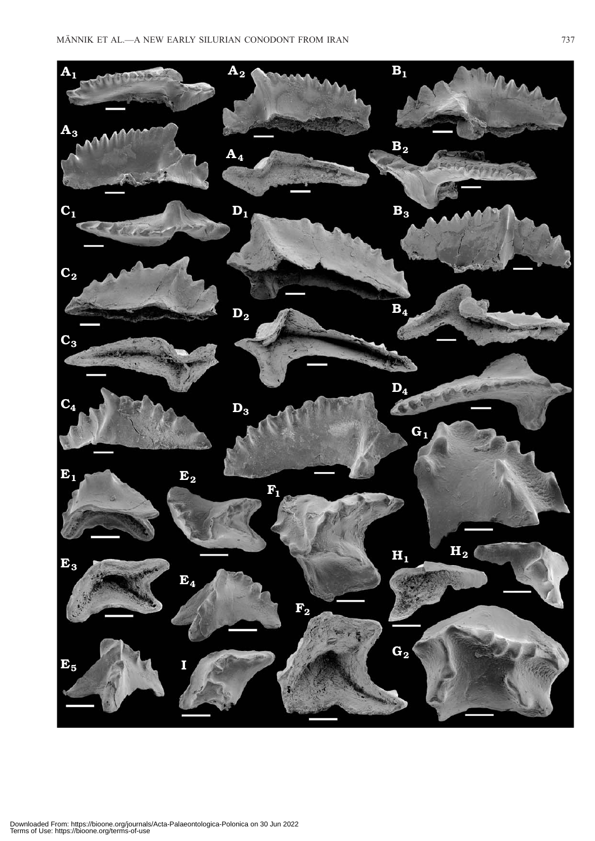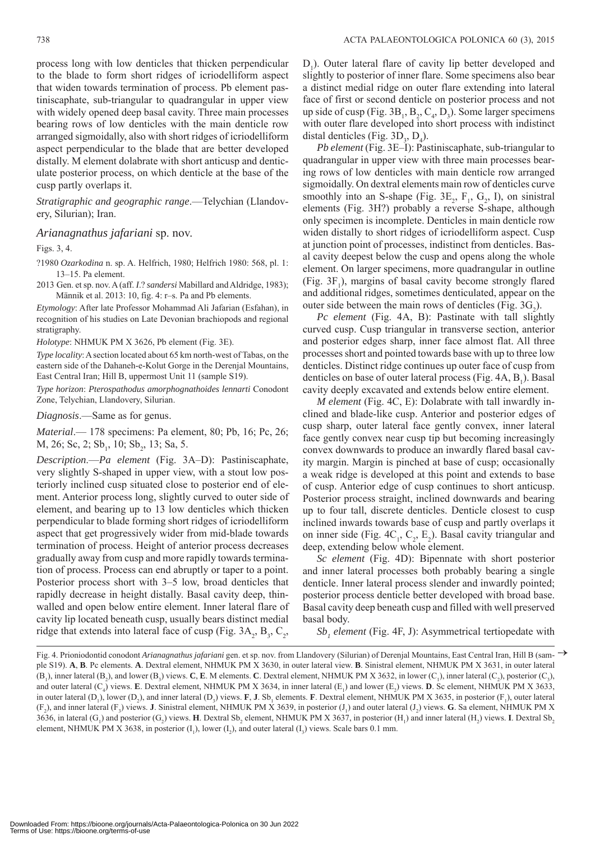process long with low denticles that thicken perpendicular to the blade to form short ridges of icriodelliform aspect that widen towards termination of process. Pb element pastiniscaphate, sub-triangular to quadrangular in upper view with widely opened deep basal cavity. Three main processes bearing rows of low denticles with the main denticle row arranged sigmoidally, also with short ridges of icriodelliform aspect perpendicular to the blade that are better developed distally. M element dolabrate with short anticusp and denticulate posterior process, on which denticle at the base of the cusp partly overlaps it.

*Stratigraphic and geographic range*.—Telychian (Llandovery, Silurian); Iran.

#### *Arianagnathus jafariani* sp. nov.

Figs. 3, 4.

- ?1980 *Ozarkodina* n. sp. A. Helfrich, 1980; Helfrich 1980: 568, pl. 1: 13–15. Pa element.
- 2013 Gen. et sp. nov. A (aff. *I*.? *sandersi* Mabillard and Aldridge, 1983); Männik et al. 2013: 10, fig. 4: r–s. Pa and Pb elements.

*Etymology*: After late Professor Mohammad Ali Jafarian (Esfahan), in recognition of his studies on Late Devonian brachiopods and regional stratigraphy.

*Holotype*: NHMUK PM X 3626, Pb element (Fig. 3E).

*Type locality*: A section located about 65 km north-west of Tabas, on the eastern side of the Dahaneh-e-Kolut Gorge in the Derenjal Mountains, East Central Iran; Hill B, uppermost Unit 11 (sample S19).

*Type horizon*: *Pterospathodus amorphognathoides lennarti* Conodont Zone, Telychian, Llandovery, Silurian.

*Diagnosis*.—Same as for genus.

*Material*.— 178 specimens: Pa element, 80; Pb, 16; Pc, 26; M, 26; Sc, 2; Sb<sub>1</sub>, 10; Sb<sub>2</sub>, 13; Sa, 5.

*Description*.—*Pa element* (Fig. 3A–D): Pastiniscaphate, very slightly S-shaped in upper view, with a stout low posteriorly inclined cusp situated close to posterior end of element. Anterior process long, slightly curved to outer side of element, and bearing up to 13 low denticles which thicken perpendicular to blade forming short ridges of icriodelliform aspect that get progressively wider from mid-blade towards termination of process. Height of anterior process decreases gradually away from cusp and more rapidly towards termination of process. Process can end abruptly or taper to a point. Posterior process short with 3–5 low, broad denticles that rapidly decrease in height distally. Basal cavity deep, thinwalled and open below entire element. Inner lateral flare of cavity lip located beneath cusp, usually bears distinct medial ridge that extends into lateral face of cusp (Fig.  $3A_2$ ,  $B_3$ ,  $C_2$ ,

D<sub>1</sub>). Outer lateral flare of cavity lip better developed and slightly to posterior of inner flare. Some specimens also bear a distinct medial ridge on outer flare extending into lateral face of first or second denticle on posterior process and not up side of cusp (Fig.  $3B_1$ ,  $B_2$ ,  $C_4$ ,  $D_3$ ). Some larger specimens with outer flare developed into short process with indistinct distal denticles (Fig.  $3D_3$ ,  $D_4$ ).

*Pb element* (Fig. 3E–I): Pastiniscaphate, sub-triangular to quadrangular in upper view with three main processes bearing rows of low denticles with main denticle row arranged sigmoidally. On dextral elements main row of denticles curve smoothly into an S-shape (Fig. 3 $E_2$ ,  $F_1$ ,  $G_2$ , I), on sinistral elements (Fig. 3H?) probably a reverse S-shape, although only specimen is incomplete. Denticles in main denticle row widen distally to short ridges of icriodelliform aspect. Cusp at junction point of processes, indistinct from denticles. Basal cavity deepest below the cusp and opens along the whole element. On larger specimens, more quadrangular in outline (Fig.  $3F_1$ ), margins of basal cavity become strongly flared and additional ridges, sometimes denticulated, appear on the outer side between the main rows of denticles (Fig.  $3G_2$ ).

*Pc element* (Fig. 4A, B): Pastinate with tall slightly curved cusp. Cusp triangular in transverse section, anterior and posterior edges sharp, inner face almost flat. All three processes short and pointed towards base with up to three low denticles. Distinct ridge continues up outer face of cusp from denticles on base of outer lateral process (Fig.  $4A, B<sub>1</sub>$ ). Basal cavity deeply excavated and extends below entire element.

*M element* (Fig. 4C, E): Dolabrate with tall inwardly inclined and blade-like cusp. Anterior and posterior edges of cusp sharp, outer lateral face gently convex, inner lateral face gently convex near cusp tip but becoming increasingly convex downwards to produce an inwardly flared basal cavity margin. Margin is pinched at base of cusp; occasionally a weak ridge is developed at this point and extends to base of cusp. Anterior edge of cusp continues to short anticusp. Posterior process straight, inclined downwards and bearing up to four tall, discrete denticles. Denticle closest to cusp inclined inwards towards base of cusp and partly overlaps it on inner side (Fig.  $4C_1$ ,  $C_2$ ,  $E_2$ ). Basal cavity triangular and deep, extending below whole element.

*Sc element* (Fig. 4D): Bipennate with short posterior and inner lateral processes both probably bearing a single denticle. Inner lateral process slender and inwardly pointed; posterior process denticle better developed with broad base. Basal cavity deep beneath cusp and filled with well preserved basal body.

Sb<sub>1</sub> element (Fig. 4F, J): Asymmetrical tertiopedate with

Fig. 4. Prioniodontid conodont *Arianagnathus jafariani* gen. et sp. nov. from Llandovery (Silurian) of Derenjal Mountains, East Central Iran, Hill B (sam-→ ple S19). **A**, **B**. Pc elements. **A**. Dextral element, NHMUK PM X 3630, in outer lateral view. **B**. Sinistral element, NHMUK PM X 3631, in outer lateral  $(B_1)$ , inner lateral  $(B_2)$ , and lower  $(B_3)$  views. **C**, **E**. M elements. **C**. Dextral element, NHMUK PM X 3632, in lower  $(C_1)$ , inner lateral  $(C_2)$ , posterior  $(C_3)$ , and outer lateral  $(C_4)$  views. **E**. Dextral element, NHMUK PM X 3634, in inner lateral  $(E_1)$  and lower  $(E_2)$  views. **D**. Sc element, NHMUK PM X 3633, in outer lateral  $(D_1)$ , lower  $(D_2)$ , and inner lateral  $(D_3)$  views. **F**, **J**. Sb<sub>1</sub> elements. **F**. Dextral element, NHMUK PM X 3635, in posterior (F<sub>1</sub>), outer lateral  $(F_2)$ , and inner lateral  $(F_3)$  views. **J**. Sinistral element, NHMUK PM X 3639, in posterior  $(J_1)$  and outer lateral  $(J_2)$  views. **G**. Sa element, NHMUK PM X 3636, in lateral (G<sub>1</sub>) and posterior (G<sub>2</sub>) views. **H**. Dextral Sb<sub>2</sub> element, NHMUK PM X 3637, in posterior (H<sub>1</sub>) and inner lateral (H<sub>2</sub>) views. **I**. Dextral Sb<sub>2</sub> element, NHMUK PM X 3638, in posterior  $(I_1)$ , lower  $(I_2)$ , and outer lateral  $(I_3)$  views. Scale bars 0.1 mm.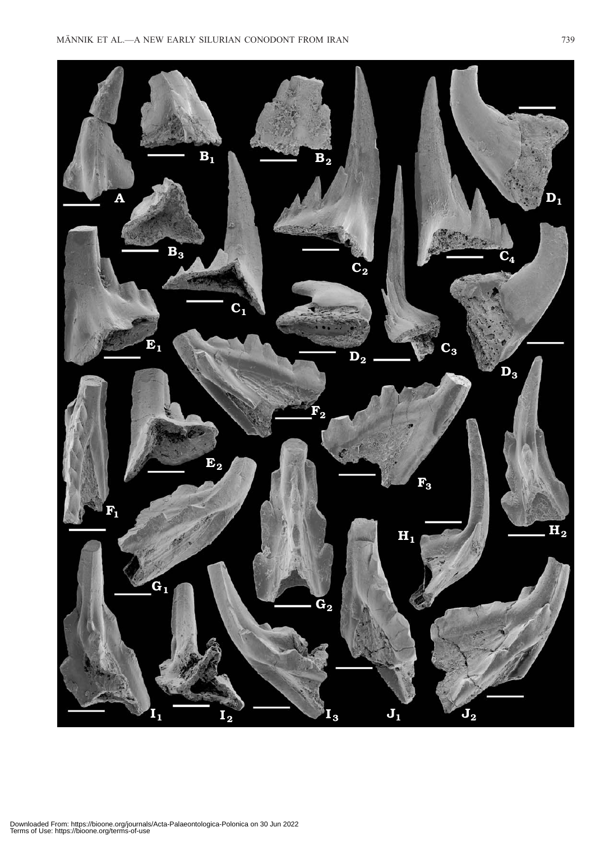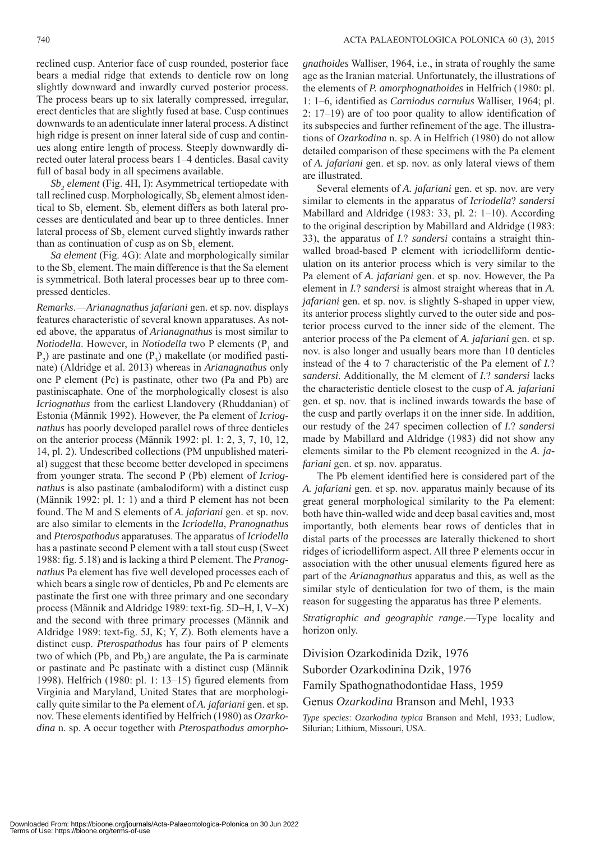reclined cusp. Anterior face of cusp rounded, posterior face bears a medial ridge that extends to denticle row on long slightly downward and inwardly curved posterior process. The process bears up to six laterally compressed, irregular, erect denticles that are slightly fused at base. Cusp continues downwards to an adenticulate inner lateral process. A distinct high ridge is present on inner lateral side of cusp and continues along entire length of process. Steeply downwardly directed outer lateral process bears 1–4 denticles. Basal cavity full of basal body in all specimens available.

Sb<sub>2</sub> element (Fig. 4H, I): Asymmetrical tertiopedate with tall reclined cusp. Morphologically,  $\mathrm{Sb}_2$  element almost identical to  $Sb_1$  element.  $Sb_2$  element differs as both lateral processes are denticulated and bear up to three denticles. Inner lateral process of  $Sb_2$  element curved slightly inwards rather than as continuation of cusp as on  $Sb_1$  element.

*Sa element* (Fig. 4G): Alate and morphologically similar to the  $Sb_2$  element. The main difference is that the Sa element is symmetrical. Both lateral processes bear up to three compressed denticles.

*Remarks*.—*Arianagnathus jafariani* gen. et sp. nov. displays features characteristic of several known apparatuses. As noted above, the apparatus of *Arianagnathus* is most similar to *Notiodella*. However, in *Notiodella* two P elements (P<sub>1</sub> and  $P_2$ ) are pastinate and one  $(P_3)$  makellate (or modified pastinate) (Aldridge et al. 2013) whereas in *Arianagnathus* only one P element (Pc) is pastinate, other two (Pa and Pb) are pastiniscaphate. One of the morphologically closest is also *Icriognathus* from the earliest Llandovery (Rhuddanian) of Estonia (Männik 1992). However, the Pa element of *Icriognathus* has poorly developed parallel rows of three denticles on the anterior process (Männik 1992: pl. 1: 2, 3, 7, 10, 12, 14, pl. 2). Undescribed collections (PM unpublished material) suggest that these become better developed in specimens from younger strata. The second P (Pb) element of *Icriognathus* is also pastinate (ambalodiform) with a distinct cusp (Männik 1992: pl. 1: 1) and a third P element has not been found. The M and S elements of *A. jafariani* gen. et sp. nov. are also similar to elements in the *Icriodella*, *Pranognathus* and *Pterospathodus* apparatuses. The apparatus of *Icriodella* has a pastinate second P element with a tall stout cusp (Sweet 1988: fig. 5.18) and is lacking a third P element. The *Pranognathus* Pa element has five well developed processes each of which bears a single row of denticles, Pb and Pc elements are pastinate the first one with three primary and one secondary process (Männik and Aldridge 1989: text-fig. 5D–H, I, V–X) and the second with three primary processes (Männik and Aldridge 1989: text-fig. 5J, K; Y, Z). Both elements have a distinct cusp. *Pterospathodus* has four pairs of P elements two of which  $(Pb_1$  and  $Pb_2)$  are angulate, the Pa is carminate or pastinate and Pc pastinate with a distinct cusp (Männik 1998). Helfrich (1980: pl. 1: 13–15) figured elements from Virginia and Maryland, United States that are morphologically quite similar to the Pa element of *A. jafariani* gen. et sp. nov. These elements identified by Helfrich (1980) as *Ozarkodina* n. sp. A occur together with *Pterospathodus amorpho-*

*gnathoides* Walliser, 1964, i.e., in strata of roughly the same age as the Iranian material. Unfortunately, the illustrations of the elements of *P. amorphognathoides* in Helfrich (1980: pl. 1: 1–6, identified as *Carniodus carnulus* Walliser, 1964; pl. 2: 17–19) are of too poor quality to allow identification of its subspecies and further refinement of the age. The illustrations of *Ozarkodina* n. sp. A in Helfrich (1980) do not allow detailed comparison of these specimens with the Pa element of *A. jafariani* gen. et sp. nov. as only lateral views of them are illustrated.

Several elements of *A. jafariani* gen. et sp. nov. are very similar to elements in the apparatus of *Icriodella*? *sandersi* Mabillard and Aldridge (1983: 33, pl. 2: 1–10). According to the original description by Mabillard and Aldridge (1983: 33), the apparatus of *I.*? *sandersi* contains a straight thinwalled broad-based P element with icriodelliform denticulation on its anterior process which is very similar to the Pa element of *A. jafariani* gen. et sp. nov. However, the Pa element in *I.*? *sandersi* is almost straight whereas that in *A. jafariani* gen. et sp. nov. is slightly S-shaped in upper view, its anterior process slightly curved to the outer side and posterior process curved to the inner side of the element. The anterior process of the Pa element of *A. jafariani* gen. et sp. nov. is also longer and usually bears more than 10 denticles instead of the 4 to 7 characteristic of the Pa element of *I.*? *sandersi*. Additionally, the M element of *I.*? *sandersi* lacks the characteristic denticle closest to the cusp of *A. jafariani* gen. et sp. nov. that is inclined inwards towards the base of the cusp and partly overlaps it on the inner side. In addition, our restudy of the 247 specimen collection of *I.*? *sandersi* made by Mabillard and Aldridge (1983) did not show any elements similar to the Pb element recognized in the *A. jafariani* gen. et sp. nov. apparatus.

The Pb element identified here is considered part of the *A. jafariani* gen. et sp. nov. apparatus mainly because of its great general morphological similarity to the Pa element: both have thin-walled wide and deep basal cavities and, most importantly, both elements bear rows of denticles that in distal parts of the processes are laterally thickened to short ridges of icriodelliform aspect. All three P elements occur in association with the other unusual elements figured here as part of the *Arianagnathus* apparatus and this, as well as the similar style of denticulation for two of them, is the main reason for suggesting the apparatus has three P elements.

*Stratigraphic and geographic range*.—Type locality and horizon only.

Division Ozarkodinida Dzik, 1976 Suborder Ozarkodinina Dzik, 1976 Family Spathognathodontidae Hass, 1959 Genus *Ozarkodina* Branson and Mehl, 1933

*Type species*: *Ozarkodina typica* Branson and Mehl, 1933; Ludlow, Silurian; Lithium, Missouri, USA.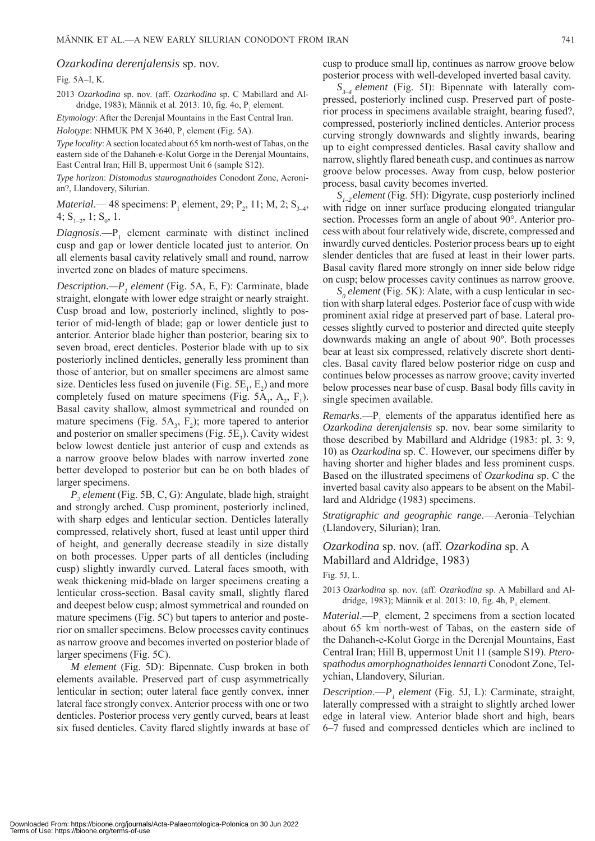#### *Ozarkodina derenjalensis* sp. nov.

Fig. 5A–I, K.

2013 *Ozarkodina* sp. nov. (aff. *Ozarkodina* sp. C Mabillard and Aldridge, 1983); Männik et al. 2013: 10, fig. 4o, P<sub>1</sub> element.

*Etymology*: After the Derenjal Mountains in the East Central Iran.

*Holotype*: NHMUK PM X 3640, P<sub>1</sub> element (Fig. 5A).

*Type locality*: A section located about 65 km north-west of Tabas, on the eastern side of the Dahaneh-e-Kolut Gorge in the Derenjal Mountains, East Central Iran; Hill B, uppermost Unit 6 (sample S12).

*Type horizon*: *Distomodus staurognathoides* Conodont Zone, Aeronian?, Llandovery, Silurian.

*Material.*—48 specimens:  $P_1$  element, 29;  $P_2$ , 11; M, 2; S<sub>3-4</sub>,  $4; S_{1-2}, 1; S_0, 1.$ 

Diagnosis.—P<sub>1</sub> element carminate with distinct inclined cusp and gap or lower denticle located just to anterior. On all elements basal cavity relatively small and round, narrow inverted zone on blades of mature specimens.

*Description.—P<sub>1</sub>* element (Fig. 5A, E, F): Carminate, blade straight, elongate with lower edge straight or nearly straight. Cusp broad and low, posteriorly inclined, slightly to posterior of mid-length of blade; gap or lower denticle just to anterior. Anterior blade higher than posterior, bearing six to seven broad, erect denticles. Posterior blade with up to six posteriorly inclined denticles, generally less prominent than those of anterior, but on smaller specimens are almost same size. Denticles less fused on juvenile (Fig.  $5E_1$ ,  $E_2$ ) and more completely fused on mature specimens (Fig.  $5A_1$ ,  $A_2$ ,  $F_1$ ). Basal cavity shallow, almost symmetrical and rounded on mature specimens (Fig.  $5A_3$ ,  $F_2$ ); more tapered to anterior and posterior on smaller specimens (Fig.  $5E_3$ ). Cavity widest below lowest denticle just anterior of cusp and extends as a narrow groove below blades with narrow inverted zone better developed to posterior but can be on both blades of larger specimens.

*P2 element* (Fig. 5B, C, G): Angulate, blade high, straight and strongly arched. Cusp prominent, posteriorly inclined, with sharp edges and lenticular section. Denticles laterally compressed, relatively short, fused at least until upper third of height, and generally decrease steadily in size distally on both processes. Upper parts of all denticles (including cusp) slightly inwardly curved. Lateral faces smooth, with weak thickening mid-blade on larger specimens creating a lenticular cross-section. Basal cavity small, slightly flared and deepest below cusp; almost symmetrical and rounded on mature specimens (Fig. 5C) but tapers to anterior and posterior on smaller specimens. Below processes cavity continues as narrow groove and becomes inverted on posterior blade of larger specimens (Fig. 5C).

*M element* (Fig. 5D): Bipennate. Cusp broken in both elements available. Preserved part of cusp asymmetrically lenticular in section; outer lateral face gently convex, inner lateral face strongly convex. Anterior process with one or two denticles. Posterior process very gently curved, bears at least six fused denticles. Cavity flared slightly inwards at base of cusp to produce small lip, continues as narrow groove below posterior process with well-developed inverted basal cavity.

*S3–4 element* (Fig. 5I): Bipennate with laterally compressed, posteriorly inclined cusp. Preserved part of posterior process in specimens available straight, bearing fused?, compressed, posteriorly inclined denticles. Anterior process curving strongly downwards and slightly inwards, bearing up to eight compressed denticles. Basal cavity shallow and narrow, slightly flared beneath cusp, and continues as narrow groove below processes. Away from cusp, below posterior process, basal cavity becomes inverted.

*S1*–*2 element* (Fig. 5H): Digyrate, cusp posteriorly inclined with ridge on inner surface producing elongated triangular section. Processes form an angle of about 90°. Anterior process with about four relatively wide, discrete, compressed and inwardly curved denticles. Posterior process bears up to eight slender denticles that are fused at least in their lower parts. Basal cavity flared more strongly on inner side below ridge on cusp; below processes cavity continues as narrow groove.

 $S<sub>0</sub> element$  (Fig. 5K): Alate, with a cusp lenticular in section with sharp lateral edges. Posterior face of cusp with wide prominent axial ridge at preserved part of base. Lateral processes slightly curved to posterior and directed quite steeply downwards making an angle of about 90º. Both processes bear at least six compressed, relatively discrete short denticles. Basal cavity flared below posterior ridge on cusp and continues below processes as narrow groove; cavity inverted below processes near base of cusp. Basal body fills cavity in single specimen available.

 $Remarks. - P<sub>1</sub>$  elements of the apparatus identified here as *Ozarkodina derenjalensis* sp. nov. bear some similarity to those described by Mabillard and Aldridge (1983: pl. 3: 9, 10) as *Ozarkodina* sp. C. However, our specimens differ by having shorter and higher blades and less prominent cusps. Based on the illustrated specimens of *Ozarkodina* sp. C the inverted basal cavity also appears to be absent on the Mabillard and Aldridge (1983) specimens.

*Stratigraphic and geographic range*.—Aeronia–Telychian (Llandovery, Silurian); Iran.

*Ozarkodina* sp. nov. (aff. *Ozarkodina* sp. A Mabillard and Aldridge, 1983)

#### Fig. 5J, L.

2013 *Ozarkodina* sp. nov. (aff. *Ozarkodina* sp. A Mabillard and Aldridge, 1983); Männik et al. 2013: 10, fig. 4h,  $P_1$  element.

*Material*.—P<sub>1</sub> element, 2 specimens from a section located about 65 km north-west of Tabas, on the eastern side of the Dahaneh-e-Kolut Gorge in the Derenjal Mountains, East Central Iran; Hill B, uppermost Unit 11 (sample S19). *Pterospathodus amorphognathoides lennarti* Conodont Zone, Telychian, Llandovery, Silurian.

*Description*.—*P1 element* (Fig. 5J, L): Carminate, straight, laterally compressed with a straight to slightly arched lower edge in lateral view. Anterior blade short and high, bears 6–7 fused and compressed denticles which are inclined to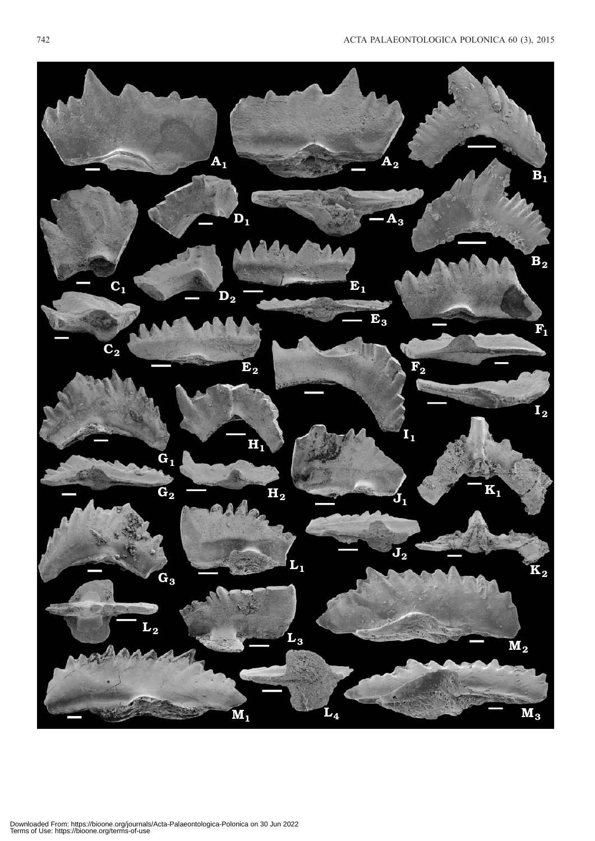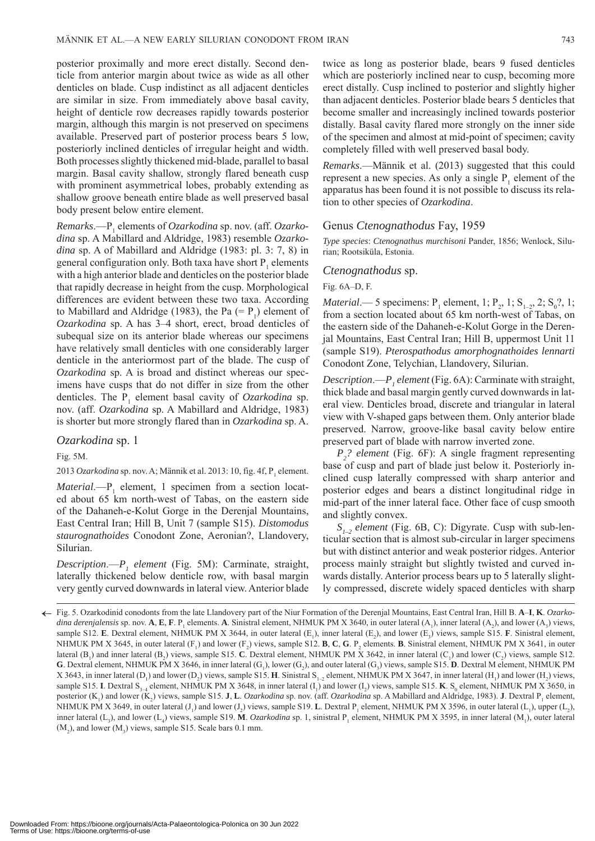posterior proximally and more erect distally. Second denticle from anterior margin about twice as wide as all other denticles on blade. Cusp indistinct as all adjacent denticles are similar in size. From immediately above basal cavity, height of denticle row decreases rapidly towards posterior margin, although this margin is not preserved on specimens available. Preserved part of posterior process bears 5 low, posteriorly inclined denticles of irregular height and width. Both processes slightly thickened mid-blade, parallel to basal margin. Basal cavity shallow, strongly flared beneath cusp with prominent asymmetrical lobes, probably extending as shallow groove beneath entire blade as well preserved basal body present below entire element.

*Remarks.—*P<sub>1</sub> elements of *Ozarkodina* sp. nov. (aff. *Ozarkodina* sp. A Mabillard and Aldridge, 1983) resemble *Ozarkodina* sp. A of Mabillard and Aldridge (1983: pl. 3: 7, 8) in general configuration only. Both taxa have short  $P_1$  elements with a high anterior blade and denticles on the posterior blade that rapidly decrease in height from the cusp. Morphological differences are evident between these two taxa. According to Mabillard and Aldridge (1983), the Pa  $(= P_1)$  element of *Ozarkodina* sp. A has 3–4 short, erect, broad denticles of subequal size on its anterior blade whereas our specimens have relatively small denticles with one considerably larger denticle in the anteriormost part of the blade. The cusp of *Ozarkodina* sp. A is broad and distinct whereas our specimens have cusps that do not differ in size from the other denticles. The P<sub>1</sub> element basal cavity of *Ozarkodina* sp. nov. (aff. *Ozarkodina* sp. A Mabillard and Aldridge, 1983) is shorter but more strongly flared than in *Ozarkodina* sp. A.

*Ozarkodina* sp. 1

Fig. 5M.

#### 2013 *Ozarkodina* sp. nov. A; Männik et al. 2013: 10, fig. 4f, P<sub>1</sub> element.

*Material*.—P<sub>1</sub> element, 1 specimen from a section located about 65 km north-west of Tabas, on the eastern side of the Dahaneh-e-Kolut Gorge in the Derenjal Mountains, East Central Iran; Hill B, Unit 7 (sample S15). *Distomodus staurognathoides* Conodont Zone, Aeronian?, Llandovery, Silurian.

*Description*.—*P1 element* (Fig. 5M): Carminate, straight, laterally thickened below denticle row, with basal margin very gently curved downwards in lateral view. Anterior blade

twice as long as posterior blade, bears 9 fused denticles which are posteriorly inclined near to cusp, becoming more erect distally. Cusp inclined to posterior and slightly higher than adjacent denticles. Posterior blade bears 5 denticles that become smaller and increasingly inclined towards posterior distally. Basal cavity flared more strongly on the inner side of the specimen and almost at mid-point of specimen; cavity completely filled with well preserved basal body.

*Remarks*.—Männik et al. (2013) suggested that this could represent a new species. As only a single  $P_1$  element of the apparatus has been found it is not possible to discuss its relation to other species of *Ozarkodina*.

#### Genus *Ctenognathodus* Fay, 1959

*Type species*: *Ctenognathus murchisoni* Pander, 1856; Wenlock, Silurian; Rootsiküla, Estonia.

#### *Ctenognathodus* sp.

Fig. 6A–D, F.

*Material.*— 5 specimens:  $P_1$  element, 1;  $P_2$ , 1;  $S_{1-2}$ , 2;  $S_0$ ?, 1; from a section located about 65 km north-west of Tabas, on the eastern side of the Dahaneh-e-Kolut Gorge in the Derenjal Mountains, East Central Iran; Hill B, uppermost Unit 11 (sample S19). *Pterospathodus amorphognathoides lennarti* Conodont Zone, Telychian, Llandovery, Silurian.

*Description.—P<sub>1</sub>* element (Fig. 6A): Carminate with straight, thick blade and basal margin gently curved downwards in lateral view. Denticles broad, discrete and triangular in lateral view with V-shaped gaps between them. Only anterior blade preserved. Narrow, groove-like basal cavity below entire preserved part of blade with narrow inverted zone.

*P2 ? element* (Fig. 6F): A single fragment representing base of cusp and part of blade just below it. Posteriorly inclined cusp laterally compressed with sharp anterior and posterior edges and bears a distinct longitudinal ridge in mid-part of the inner lateral face. Other face of cusp smooth and slightly convex.

*S1–2 element* (Fig. 6B, C): Digyrate. Cusp with sub-lenticular section that is almost sub-circular in larger specimens but with distinct anterior and weak posterior ridges. Anterior process mainly straight but slightly twisted and curved inwards distally. Anterior process bears up to 5 laterally slightly compressed, discrete widely spaced denticles with sharp

Fig. 5. Ozarkodinid conodonts from the late Llandovery part of the Niur Formation of the Derenjal Mountains, East Central Iran, Hill B. **A**–**I**, **K**. *Ozarko-*→ *dina derenjalensis* sp. nov.  $\mathbf{A}$ ,  $\mathbf{E}$ ,  $\mathbf{F}$ . P<sub>1</sub> elements.  $\mathbf{A}$ . Sinistral element, NHMUK PM X 3640, in outer lateral  $(A_1)$ , inner lateral  $(A_2)$ , and lower  $(A_3)$  views, sample S12. **E**. Dextral element, NHMUK PM X 3644, in outer lateral  $(E_1)$ , inner lateral  $(E_2)$ , and lower  $(E_3)$  views, sample S15. **F**. Sinistral element, NHMUK PM X 3645, in outer lateral  $(F_1)$  and lower  $(F_2)$  views, sample S12. **B**, **C**, **G**. P<sub>2</sub> elements. **B**. Sinistral element, NHMUK PM X 3641, in outer lateral  $(B_1)$  and inner lateral  $(B_2)$  views, sample S15. **C**. Dextral element, NHMUK PM X 3642, in inner lateral  $(C_1)$  and lower  $(C_2)$  views, sample S12. **G**. Dextral element, NHMUK PM X 3646, in inner lateral  $(G_1)$ , lower  $(G_2)$ , and outer lateral  $(G_3)$  views, sample S15. **D**. Dextral M element, NHMUK PM X 3643, in inner lateral (D<sub>1</sub>) and lower (D<sub>2</sub>) views, sample S15. **H**. Sinistral S<sub>1-2</sub> element, NHMUK PM X 3647, in inner lateral (H<sub>1</sub>) and lower (H<sub>2</sub>) views, sample S15. **I**. Dextral S<sub>3-4</sub> element, NHMUK PM X 3648, in inner lateral  $(I_1)$  and lower  $(I_2)$  views, sample S15. **K**. S<sub>0</sub> element, NHMUK PM X 3650, in posterior (K<sub>1</sub>) and lower (K<sub>2</sub>) views, sample S15. **J**, **L**. *Ozarkodina* sp. nov. (aff. *Ozarkodina* sp. A Mabillard and Aldridge, 1983). **J**. Dextral P<sub>1</sub> element, NHMUK PM X 3649, in outer lateral  $(J_1)$  and lower  $(J_2)$  views, sample S19. **L**. Dextral P<sub>1</sub> element, NHMUK PM X 3596, in outer lateral  $(L_1)$ , upper  $(L_2)$ , inner lateral  $(L_3)$ , and lower  $(L_4)$  views, sample S19. **M**. *Ozarkodina* sp. 1, sinistral P<sub>1</sub> element, NHMUK PM X 3595, in inner lateral  $(M_1)$ , outer lateral  $(M_2)$ , and lower  $(M_3)$  views, sample S15. Scale bars 0.1 mm.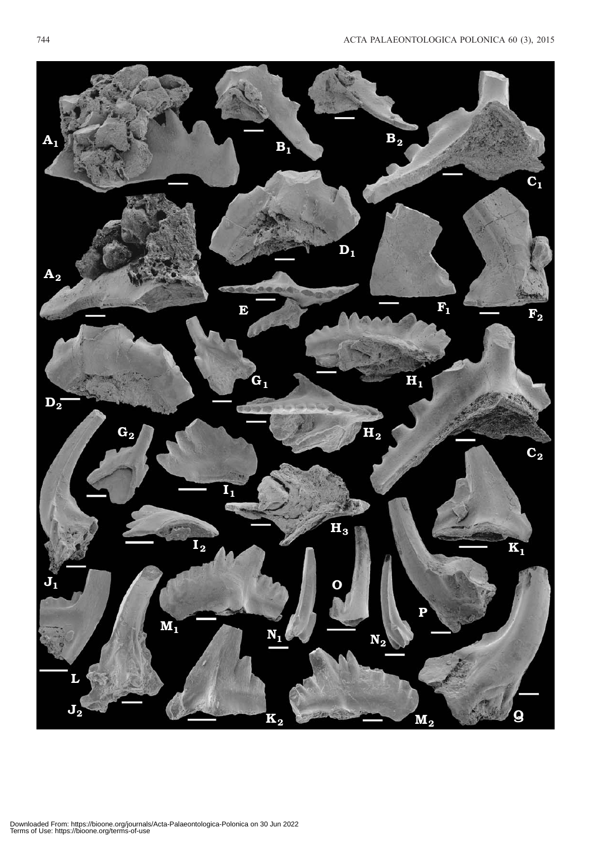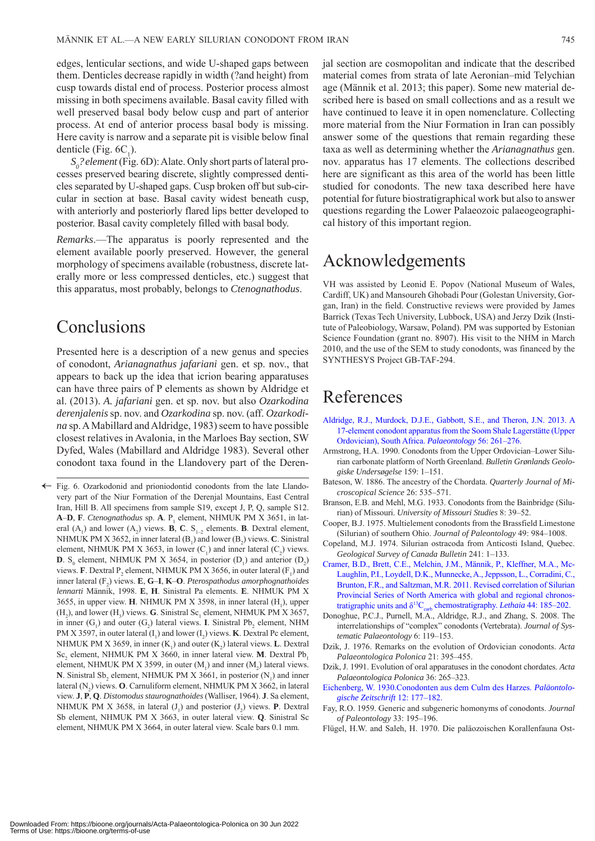edges, lenticular sections, and wide U-shaped gaps between them. Denticles decrease rapidly in width (?and height) from cusp towards distal end of process. Posterior process almost missing in both specimens available. Basal cavity filled with well preserved basal body below cusp and part of anterior process. At end of anterior process basal body is missing. Here cavity is narrow and a separate pit is visible below final denticle (Fig.  $6C_1$ ).

*S0 ?element* (Fig. 6D): Alate. Only short parts of lateral processes preserved bearing discrete, slightly compressed denticles separated by U-shaped gaps. Cusp broken off but sub-circular in section at base. Basal cavity widest beneath cusp, with anteriorly and posteriorly flared lips better developed to posterior. Basal cavity completely filled with basal body.

*Remarks*.—The apparatus is poorly represented and the element available poorly preserved. However, the general morphology of specimens available (robustness, discrete laterally more or less compressed denticles, etc.) suggest that this apparatus, most probably, belongs to *Ctenognathodus*.

### Conclusions

Presented here is a description of a new genus and species of conodont, *Arianagnathus jafariani* gen. et sp. nov., that appears to back up the idea that icrion bearing apparatuses can have three pairs of P elements as shown by Aldridge et al. (2013). *A. jafariani* gen. et sp. nov. but also *Ozarkodina derenjalenis* sp. nov. and *Ozarkodina* sp. nov. (aff. *Ozarkodina* sp. A Mabillard and Aldridge, 1983) seem to have possible closest relatives in Avalonia, in the Marloes Bay section, SW Dyfed, Wales (Mabillard and Aldridge 1983). Several other conodont taxa found in the Llandovery part of the Deren-

← Fig. 6. Ozarkodonid and prioniodontid conodonts from the late Llandovery part of the Niur Formation of the Derenjal Mountains, East Central Iran, Hill B. All specimens from sample S19, except J, P, Q, sample S12. **A–D**, **F**. *Ctenognathodus* sp. **A**. P<sub>1</sub> element, NHMUK PM X 3651, in lateral  $(A_1)$  and lower  $(A_2)$  views. **B**, **C**.  $S_{1-2}$  elements. **B**. Dextral element, NHMUK PM X 3652, in inner lateral  $(B_1)$  and lower  $(B_2)$  views. **C**. Sinistral element, NHMUK PM X 3653, in lower  $(C_1)$  and inner lateral  $(C_2)$  views. **D**. S<sub>0</sub> element, NHMUK PM X 3654, in posterior  $(D_1)$  and anterior  $(D_2)$ views. **F**. Dextral  $P_2$  element, NHMUK PM X 3656, in outer lateral  $(F_1)$  and inner lateral (F<sub>2</sub>) views. **E**, **G-I**, **K-O**. *Pterospathodus amorphognathoides lennarti* Männik, 1998. **E**, **H**. Sinistral Pa elements. **E**. NHMUK PM X  $3655$ , in upper view. **H**. NHMUK PM X 3598, in inner lateral  $(H_1)$ , upper  $(H_2)$ , and lower  $(H_3)$  views. **G**. Sinistral Sc<sub>1</sub> element, NHMUK PM X 3657, in inner  $(G_1)$  and outer  $(G_2)$  lateral views. **I**. Sinistral Pb<sub>2</sub> element, NHM PM X 3597, in outer lateral  $(I_1)$  and lower  $(I_2)$  views. **K**. Dextral Pc element, NHMUK PM X 3659, in inner  $(K_1)$  and outer  $(K_2)$  lateral views. **L**. Dextral Sc<sub>2</sub> element, NHMUK PM X 3660, in inner lateral view. **M**. Dextral Pb<sub>1</sub> element, NHMUK PM X 3599, in outer  $(M_1)$  and inner  $(M_2)$  lateral views. **N**. Sinistral  $Sb_2$  element, NHMUK PM X 3661, in posterior  $(N_1)$  and inner lateral (N<sub>2</sub>) views. **O**. Carnuliform element, NHMUK PM X 3662, in lateral view. **J**, **P**, **Q**. *Distomodus staurognathoides* (Walliser, 1964). **J**. Sa element, NHMUK PM X 3658, in lateral  $(J_1)$  and posterior  $(J_2)$  views. **P**. Dextral Sb element, NHMUK PM X 3663, in outer lateral view. **Q**. Sinistral Sc element, NHMUK PM X 3664, in outer lateral view. Scale bars 0.1 mm.

jal section are cosmopolitan and indicate that the described material comes from strata of late Aeronian–mid Telychian age (Männik et al. 2013; this paper). Some new material described here is based on small collections and as a result we have continued to leave it in open nomenclature. Collecting more material from the Niur Formation in Iran can possibly answer some of the questions that remain regarding these taxa as well as determining whether the *Arianagnathus* gen. nov. apparatus has 17 elements. The collections described here are significant as this area of the world has been little studied for conodonts. The new taxa described here have potential for future biostratigraphical work but also to answer questions regarding the Lower Palaeozoic palaeogeographical history of this important region.

## Acknowledgements

VH was assisted by Leonid E. Popov (National Museum of Wales, Cardiff, UK) and Mansoureh Ghobadi Pour (Golestan University, Gorgan, Iran) in the field. Constructive reviews were provided by James Barrick (Texas Tech University, Lubbock, USA) and Jerzy Dzik (Institute of Paleobiology, Warsaw, Poland). PM was supported by Estonian Science Foundation (grant no. 8907). His visit to the NHM in March 2010, and the use of the SEM to study conodonts, was financed by the SYNTHESYS Project GB-TAF-294.

### References

- [Aldridge, R.J., Murdock, D.J.E., Gabbott, S.E., and Theron, J.N. 2013. A](http://dx.doi.org/10.1111/j.1475-4983.2012.01194.x)  17-element conodont apparatus from the Soom Shale Lagerstätte (Upper Ordovician), South Africa. *Palaeontology* 56: 261–276.
- Armstrong, H.A. 1990. Conodonts from the Upper Ordovician–Lower Silurian carbonate platform of North Greenland. *Bulletin Grønlands Geologiske Undersøgelse* 159: 1–151.
- Bateson, W. 1886. The ancestry of the Chordata. *Quarterly Journal of Microscopical Science* 26: 535–571.
- Branson, E.B. and Mehl, M.G. 1933. Conodonts from the Bainbridge (Silurian) of Missouri. *University of Missouri Studies* 8: 39–52.
- Cooper, B.J. 1975. Multielement conodonts from the Brassfield Limestone (Silurian) of southern Ohio. *Journal of Paleontology* 49: 984–1008.
- Copeland, M.J. 1974. Silurian ostracoda from Anticosti Island, Quebec. *Geological Survey of Canada Bulletin* 241: 1–133.
- [Cramer, B.D., Brett, C.E., Melchin, J.M., Männik, P., Kleffner, M.A., Mc-](http://dx.doi.org/10.1111/j.1502-3931.2010.00234.x)Laughlin, P.I., Loydell, D.K., Munnecke, A., Jeppsson, L., Corradini, C., Brunton, F.R., and Saltzman, M.R. 2011. Revised correlation of Silurian Provincial Series of North America with global and regional chronostratigraphic units and  $\delta^{13}C_{\text{cath}}$  chemostratigraphy. *Lethaia* 44: 185–202.
- Donoghue, P.C.J., Purnell, M.A., Aldridge, R.J., and Zhang, S. 2008. The interrelationships of "complex" conodonts (Vertebrata). *Journal of Systematic Palaeontology* 6: 119–153.
- Dzik, J. 1976. Remarks on the evolution of Ordovician conodonts. *Acta Palaeontologica Polonica* 21: 395–455.
- Dzik, J. 1991. Evolution of oral apparatuses in the conodont chordates. *Acta Palaeontologica Polonica* 36: 265–323.
- [Eichenberg, W. 1930.Conodonten aus dem Culm des Harzes.](http://dx.doi.org/10.1007/BF03044446) *Paläontologische Zeitschrift* 12: 177–182.
- Fay, R.O. 1959. Generic and subgeneric homonyms of conodonts. *Journal of Paleontology* 33: 195–196.
- Flügel, H.W. and Saleh, H. 1970. Die paläozoischen Korallenfauna Ost-